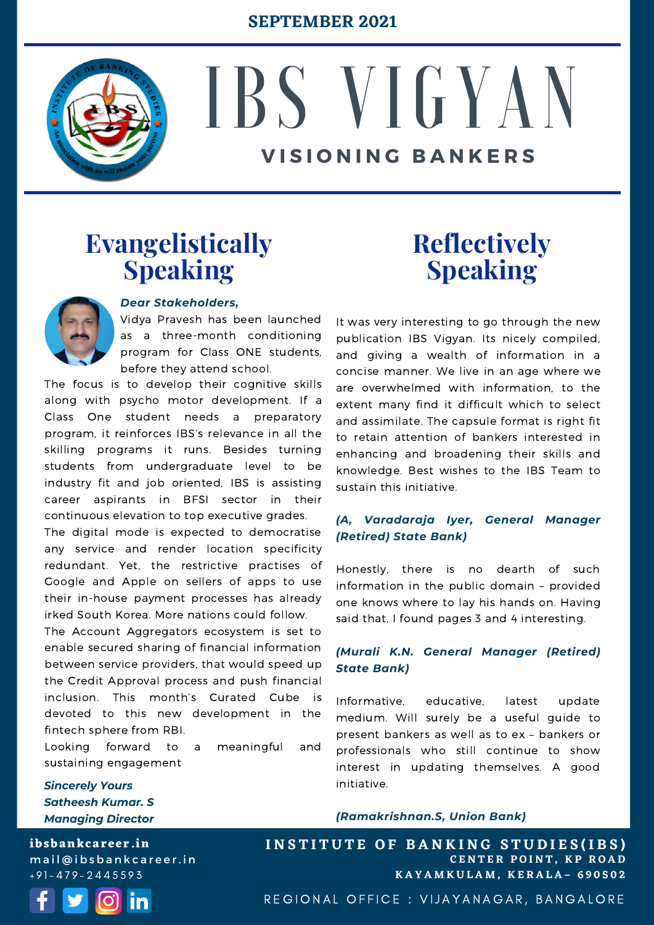

# IBS V I G Y A N **V I S I O N I N G B A N K E R S**

### **Evangelistically Speaking**



### *Dear Stakeholders,*

Vidya Pravesh has been launched as a three-month conditioning program for Class ONE students, before they attend school.

The focus is to develop their cognitive skills along with psycho motor development. If a Class One student needs a preparatory program, it reinforces IBS's relevance in all the skilling programs it runs. Besides turning students from undergraduate level to be industry fit and job oriented, IBS is assisting career aspirants in BFSI sector in their continuous elevation to top executive grades.

The digital mode is expected to democratise any service and render location specificity redundant. Yet, the restrictive practises of Google and Apple on sellers of apps to use their in-house payment processes has already irked South Korea. More nations could follow.

The Account Aggregators ecosystem is set to enable secured sharing of financial information between service providers, that would speed up the Credit Approval process and push financial inclusion. This month's Curated Cube is devoted to this new development in the fintech sphere from RBI.

Looking forward to a meaningful and sustaining engagement

*Sincerely Yours Satheesh Kumar. S Managing Director*

**ibsbankcareer.in** mail@ibsbankcareer.in  $+91 - 479 - 2445593$ 



## **Reflectively Speaking**

It was very interesting to go through the new publication IBS Vigyan. Its nicely compiled, and giving a wealth of information in a concise manner. We live in an age where we are overwhelmed with information, to the extent many find it difficult which to select and assimilate. The capsule format is right fit to retain attention of bankers interested in enhancing and broadening their skills and knowledge. Best wishes to the IBS Team to sustain this initiative.

### *(A, Varadaraja Iyer, General Manager (Retired) State Bank)*

Honestly, there is no dearth of such information in the public domain – provided one knows where to lay his hands on. Having said that, I found pages 3 and 4 interesting.

### *(Murali K.N. General Manager (Retired) State Bank)*

Informative, educative, latest update medium. Will surely be a useful guide to present bankers as well as to ex – bankers or professionals who still continue to show interest in updating themselves. A good initiative.

#### *(Ramakrishnan.S, Union Bank)*

**C E N T E R P O I N T , K P R O A D K A Y A M K U L A M , K E R A L A – 6 9 0 5 0 2 INSTITUTE OF BANKING STUDIES(IBS)** 

REGIONAL OFFICE : VIJAYANAGAR, BANGALORE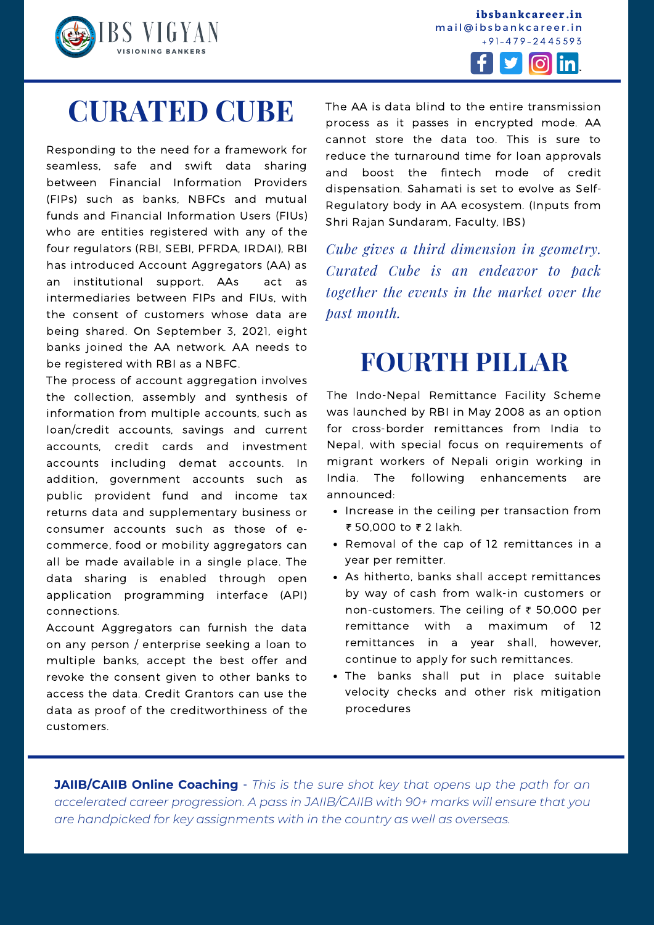

**ibsbankcareer.in** mail@ibsbankcareer.in + 9 1 - 4 7 9 - 2 4 4 5 5 9 3



# **CURATED CUBE**

Responding to the need for a framework for seamless, safe and swift data sharing between Financial Information Providers (FIPs) such as banks, NBFCs and mutual funds and Financial Information Users (FIUs) who are entities registered with any of the four regulators (RBI, SEBI, PFRDA, IRDAI), RBI has introduced Account Aggregators (AA) as an institutional support. AAs act as intermediaries between FIPs and FIUs, with the consent of customers whose data are being shared. On September 3, 2021, eight banks joined the AA network. AA needs to be registered with RBI as a NBFC.

The process of account aggregation involves the collection, assembly and synthesis of information from multiple accounts, such as loan/credit accounts, savings and current accounts, credit cards and investment accounts including demat accounts. In addition, government accounts such as public provident fund and income tax returns data and supplementary business or consumer accounts such as those of ecommerce, food or mobility aggregators can all be made available in a single place. The data sharing is enabled through open application programming interface (API) connections.

Account Aggregators can furnish the data on any person / enterprise seeking a loan to multiple banks, accept the best offer and revoke the consent given to other banks to access the data. Credit Grantors can use the data as proof of the creditworthiness of the customers.

The AA is data blind to the entire transmission process as it passes in encrypted mode. AA cannot store the data too. This is sure to reduce the turnaround time for loan approvals and boost the fintech mode of credit dispensation. Sahamati is set to evolve as Self-Regulatory body in AA ecosystem. (Inputs from Shri Rajan Sundaram, Faculty, IBS)

*Cube gives a third dimension in geometry. Curated Cube is an endeavor to pack together the events in the market over the past month.*

### **FOURTH PILLAR**

The Indo-Nepal Remittance Facility Scheme was launched by RBI in May 2008 as an option for cross-border remittances from India to Nepal, with special focus on requirements of migrant workers of Nepali origin working in India. The following enhancements are announced:

- Increase in the ceiling per transaction from ₹ 50,000 to ₹ 2 lakh.
- Removal of the cap of 12 remittances in a year per remitter.
- As hitherto, banks shall accept remittances by way of cash from walk-in customers or non-customers. The ceiling of ₹ 50,000 per remittance with a maximum of 12 remittances in a year shall, however, continue to apply for such remittances.
- The banks shall put in place suitable velocity checks and other risk mitigation procedures

**I N S T I T U T E O F B A N K I N G S T U D I E S (I B S )**

**JAIIB/CAIIB Online Coaching** - *This is the sure shot key that opens up the path for an accelerated career progression. A pass in [JAIIB/CAIIB](https://ibsbankcareer.in/course/) with 90+ marks will ensure that you are handpicked for key assignments with in the country as well as overseas.*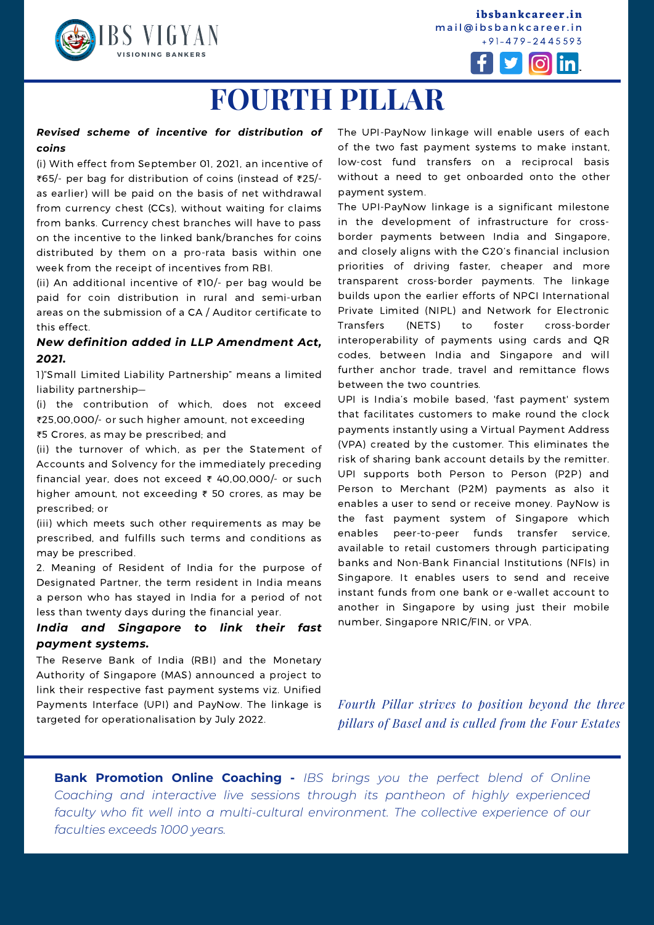

**ibsbankcareer.in** mail@ibsbankcareer.in + 9 1 - 4 7 9 - 2 4 4 5 5 9 3



# **FOURTH PILLAR**

#### *Revised scheme of incentive for distribution of coins*

(i) With effect from September 01, 2021, an incentive of ₹65/- per bag for distribution of coins (instead of ₹25/ as earlier) will be paid on the basis of net withdrawal from currency chest (CCs), without waiting for claims from banks. Currency chest branches will have to pass on the incentive to the linked bank/branches for coins distributed by them on a pro-rata basis within one week from the receipt of incentives from RBI.

(ii) An additional incentive of ₹10/- per bag would be paid for coin distribution in rural and semi-urban areas on the submission of a CA / Auditor certificate to this effect.

#### *New definition added in LLP Amendment Act, 2021.*

1)"Small Limited Liability Partnership" means a limited liability partnership—

(i) the contribution of which, does not exceed ₹25,00,000/- or such higher amount, not exceeding ₹5 Crores, as may be prescribed; and

(ii) the turnover of which, as per the Statement of Accounts and Solvency for the immediately preceding financial year, does not exceed ₹ 40,00,000/- or such higher amount, not exceeding ₹ 50 crores, as may be prescribed; or

(iii) which meets such other requirements as may be prescribed, and fulfills such terms and conditions as may be prescribed.

2. Meaning of Resident of India for the purpose of Designated Partner, the term resident in India means a person who has stayed in India for a period of not less than twenty days during the financial year.

### *India and Singapore to link their fast payment systems.*

The Reserve Bank of India (RBI) and the Monetary Authority of Singapore (MAS) announced a project to link their respective fast payment systems viz. Unified Payments Interface (UPI) and PayNow. The linkage is targeted for operationalisation by July 2022.

The UPI-PayNow linkage will enable users of each of the two fast payment systems to make instant, low-cost fund transfers on a reciprocal basis without a need to get onboarded onto the other payment system.

The UPI-PayNow linkage is a significant milestone in the development of infrastructure for crossborder payments between India and Singapore, and closely aligns with the G20's financial inclusion priorities of driving faster, cheaper and more transparent cross-border payments. The linkage builds upon the earlier efforts of NPCI International Private Limited (NIPL) and Network for Electronic Transfers (NETS) to foster cross-border interoperability of payments using cards and QR codes, between India and Singapore and will further anchor trade, travel and remittance flows between the two countries.

UPI is India's mobile based, 'fast payment' system that facilitates customers to make round the clock payments instantly using a Virtual Payment Address (VPA) created by the customer. This eliminates the risk of sharing bank account details by the remitter. UPI supports both Person to Person (P2P) and Person to Merchant (P2M) payments as also it enables a user to send or receive money. PayNow is the fast payment system of Singapore which enables peer-to-peer funds transfer service, available to retail customers through participating banks and Non-Bank Financial Institutions (NFIs) in Singapore. It enables users to send and receive instant funds from one bank or e-wallet account to another in Singapore by using just their mobile number, Singapore NRIC/FIN, or VPA.

*Fourth Pillar strives to position beyond the three pillars of Basel and is culled from the Four Estates*

**I N S T I T U T E O F B A N K I N G S T U D I E S (I B S )**

**Bank Promotion Online Coaching -** *IBS brings you the perfect blend of Online Coaching and interactive live sessions through its pantheon of highly experienced faculty who fit well into a multi-cultural environment. The collective experience of our faculties exceeds 1000 years.*